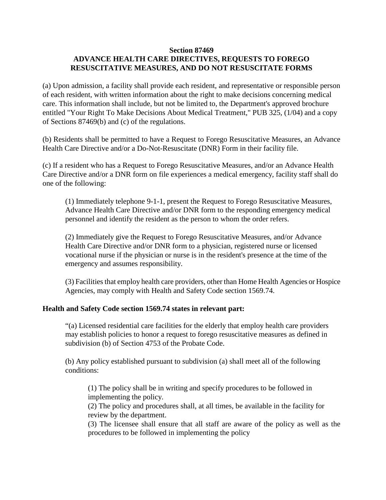## **Section 87469 ADVANCE HEALTH CARE DIRECTIVES, REQUESTS TO FOREGO RESUSCITATIVE MEASURES, AND DO NOT RESUSCITATE FORMS**

(a) Upon admission, a facility shall provide each resident, and representative or responsible person of each resident, with written information about the right to make decisions concerning medical care. This information shall include, but not be limited to, the Department's approved brochure entitled "Your Right To Make Decisions About Medical Treatment," PUB 325, (1/04) and a copy of Sections 87469(b) and (c) of the regulations.

(b) Residents shall be permitted to have a Request to Forego Resuscitative Measures, an Advance Health Care Directive and/or a Do-Not-Resuscitate (DNR) Form in their facility file.

(c) If a resident who has a Request to Forego Resuscitative Measures, and/or an Advance Health Care Directive and/or a DNR form on file experiences a medical emergency, facility staff shall do one of the following:

(1) Immediately telephone 9-1-1, present the Request to Forego Resuscitative Measures, Advance Health Care Directive and/or DNR form to the responding emergency medical personnel and identify the resident as the person to whom the order refers.

(2) Immediately give the Request to Forego Resuscitative Measures, and/or Advance Health Care Directive and/or DNR form to a physician, registered nurse or licensed vocational nurse if the physician or nurse is in the resident's presence at the time of the emergency and assumes responsibility.

(3) Facilities that employ health care providers, other than Home Health Agencies or Hospice Agencies, may comply with Health and Safety Code section 1569.74.

## **Health and Safety Code section 1569.74 states in relevant part:**

"(a) Licensed residential care facilities for the elderly that employ health care providers may establish policies to honor a request to forego resuscitative measures as defined in subdivision (b) of Section 4753 of the Probate Code.

(b) Any policy established pursuant to subdivision (a) shall meet all of the following conditions:

(1) The policy shall be in writing and specify procedures to be followed in implementing the policy.

(2) The policy and procedures shall, at all times, be available in the facility for review by the department.

(3) The licensee shall ensure that all staff are aware of the policy as well as the procedures to be followed in implementing the policy